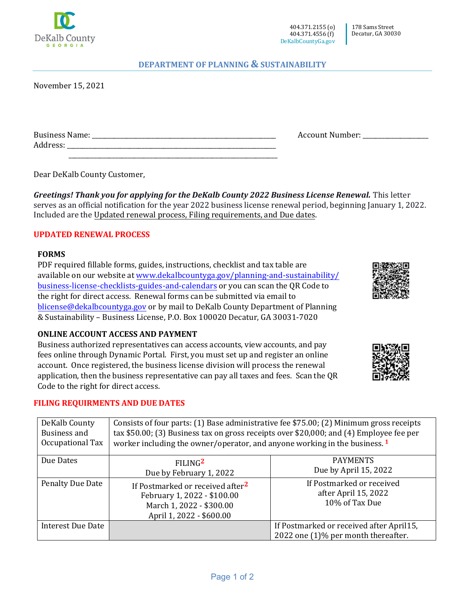

## **DEPARTMENT OF PLANNING & SUSTAINABILITY**

November 15, 2021

| D<br>в.               |  |     |
|-----------------------|--|-----|
| $\mathbf{v}$<br>Addre |  | ___ |

\_\_\_\_\_\_\_\_\_\_\_\_\_\_\_\_\_\_\_\_\_\_\_\_\_\_\_\_\_\_\_\_\_\_\_\_\_\_\_\_\_\_\_\_\_\_\_\_\_\_\_\_\_\_\_\_\_\_\_\_\_\_\_\_\_\_\_

Dear DeKalb County Customer,

*Greetings! Thank you for applying for the DeKalb County 2022 Business License Renewal.* This letter serves as an official notification for the year 2022 business license renewal period, beginning January 1, 2022. Included are the Updated renewal process, Filing requirements, and Due dates.

#### **UPDATED RENEWAL PROCESS**

#### **FORMS**

PDF required fillable forms, guides, instructions, checklist and tax table are available on our website at [www.dekalbcountyga.gov/planning-and-sustainability/](http://www.dekalbcountyga.gov/planning-and-sustainability) business-license-checklists-guides-and-calendars or you can scan the QR Code to the right for direct access. Renewal forms can be submitted via email to [blicense@dekalbcountyga.gov](mailto:blicense@dekalbcountyga.gov) or by mail to DeKalb County Department of Planning & Sustainability – Business License, P.O. Box 100020 Decatur, GA 30031-7020

## **ONLINE ACCOUNT ACCESS AND PAYMENT**

Business authorized representatives can access accounts, view accounts, and pay fees online through Dynamic Portal. First, you must set up and register an online account. Once registered, the business license division will process the renewal application, then the business representative can pay all taxes and fees. Scan the QR Code to the right for direct access.

## **FILING REQUIRMENTS AND DUE DATES**

| DeKalb County<br>Business and<br>Occupational Tax | Consists of four parts: (1) Base administrative fee \$75.00; (2) Minimum gross receipts<br>tax \$50.00; (3) Business tax on gross receipts over \$20,000; and (4) Employee fee per<br>worker including the owner/operator, and anyone working in the business. 1 |                                                                                 |  |
|---------------------------------------------------|------------------------------------------------------------------------------------------------------------------------------------------------------------------------------------------------------------------------------------------------------------------|---------------------------------------------------------------------------------|--|
| Due Dates                                         | FILING <sup>2</sup><br>Due by February 1, 2022                                                                                                                                                                                                                   | <b>PAYMENTS</b><br>Due by April 15, 2022                                        |  |
| <b>Penalty Due Date</b>                           | If Postmarked or received after <sup>2</sup><br>February 1, 2022 - \$100.00<br>March 1, 2022 - \$300.00<br>April 1, 2022 - \$600.00                                                                                                                              | If Postmarked or received<br>after April 15, 2022<br>10% of Tax Due             |  |
| <b>Interest Due Date</b>                          |                                                                                                                                                                                                                                                                  | If Postmarked or received after April15,<br>2022 one (1)% per month thereafter. |  |





Account Number: \_\_